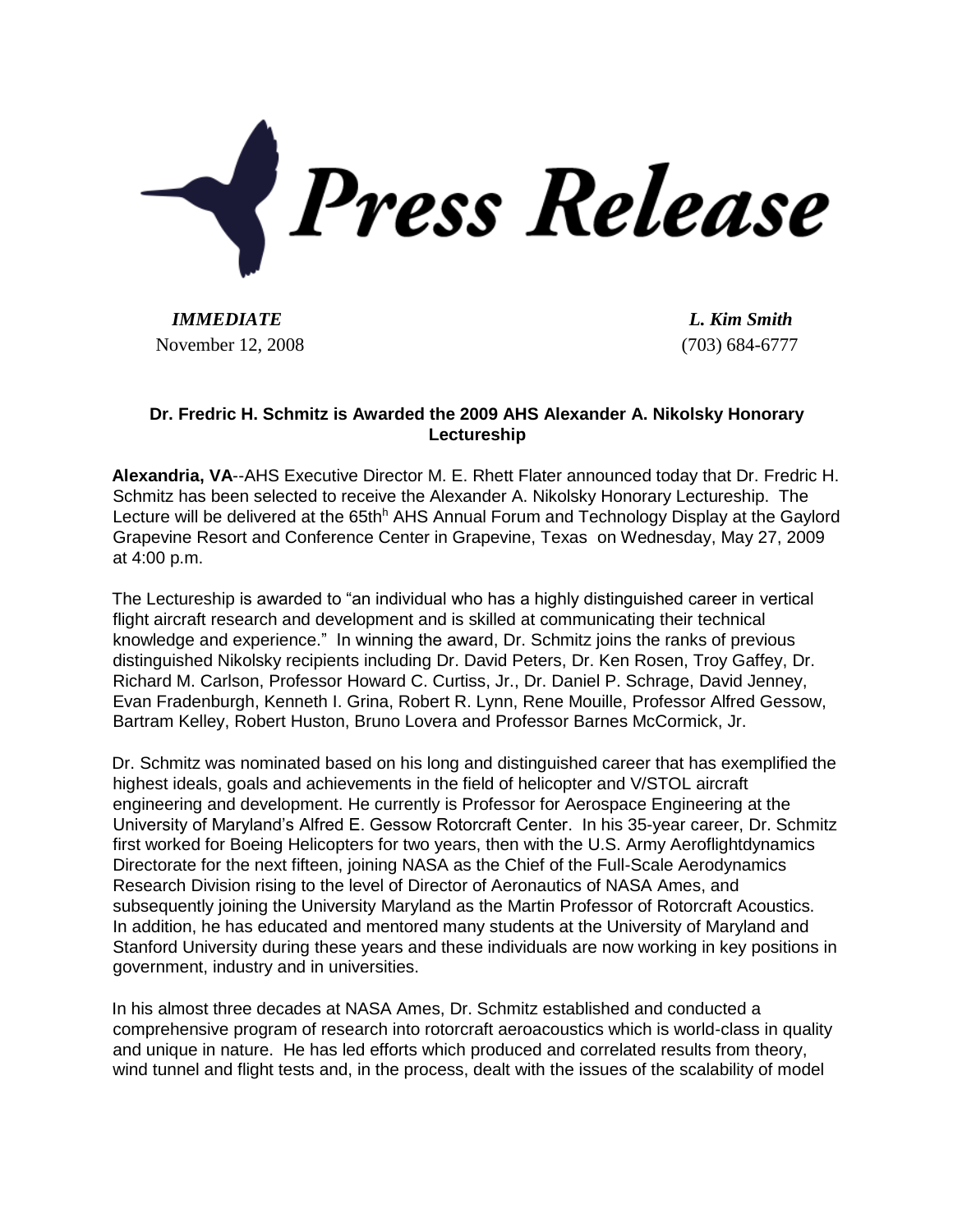

*IMMEDIATE L. Kim Smith* November 12, 2008 (703) 684-6777

## **Dr. Fredric H. Schmitz is Awarded the 2009 AHS Alexander A. Nikolsky Honorary Lectureship**

**Alexandria, VA**--AHS Executive Director M. E. Rhett Flater announced today that Dr. Fredric H. Schmitz has been selected to receive the Alexander A. Nikolsky Honorary Lectureship. The Lecture will be delivered at the 65th<sup>h</sup> AHS Annual Forum and Technology Display at the Gaylord Grapevine Resort and Conference Center in Grapevine, Texas on Wednesday, May 27, 2009 at 4:00 p.m.

The Lectureship is awarded to "an individual who has a highly distinguished career in vertical flight aircraft research and development and is skilled at communicating their technical knowledge and experience." In winning the award, Dr. Schmitz joins the ranks of previous distinguished Nikolsky recipients including Dr. David Peters, Dr. Ken Rosen, Troy Gaffey, Dr. Richard M. Carlson, Professor Howard C. Curtiss, Jr., Dr. Daniel P. Schrage, David Jenney, Evan Fradenburgh, Kenneth I. Grina, Robert R. Lynn, Rene Mouille, Professor Alfred Gessow, Bartram Kelley, Robert Huston, Bruno Lovera and Professor Barnes McCormick, Jr.

Dr. Schmitz was nominated based on his long and distinguished career that has exemplified the highest ideals, goals and achievements in the field of helicopter and V/STOL aircraft engineering and development. He currently is Professor for Aerospace Engineering at the University of Maryland's Alfred E. Gessow Rotorcraft Center. In his 35-year career, Dr. Schmitz first worked for Boeing Helicopters for two years, then with the U.S. Army Aeroflightdynamics Directorate for the next fifteen, joining NASA as the Chief of the Full-Scale Aerodynamics Research Division rising to the level of Director of Aeronautics of NASA Ames, and subsequently joining the University Maryland as the Martin Professor of Rotorcraft Acoustics. In addition, he has educated and mentored many students at the University of Maryland and Stanford University during these years and these individuals are now working in key positions in government, industry and in universities.

In his almost three decades at NASA Ames, Dr. Schmitz established and conducted a comprehensive program of research into rotorcraft aeroacoustics which is world-class in quality and unique in nature. He has led efforts which produced and correlated results from theory, wind tunnel and flight tests and, in the process, dealt with the issues of the scalability of model